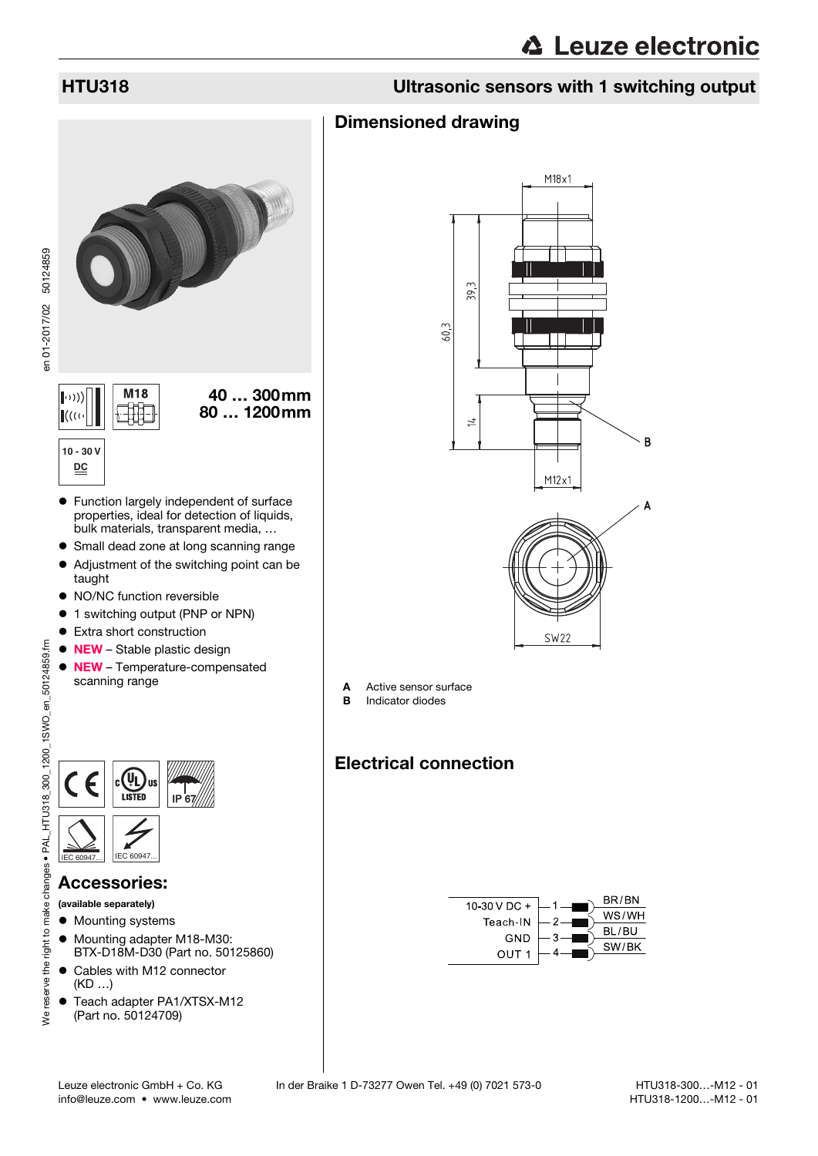## HTU318 Ultrasonic sensors with 1 switching output

#### Dimensioned drawing



IP 67  $IEC 6094$ 

#### Accessories:

(available separately)

- $\bullet$  Mounting systems
- $\bullet$  Mounting adapter M18-M30: BTX-D18M-D30 (Part no. 50125860)
- Cables with M12 connector (KD …)
- Teach adapter PA1/XTSX-M12 (Part no. 50124709)



- A Active sensor surface
- **B** Indicator diodes

# Electrical connection

<span id="page-0-0"></span>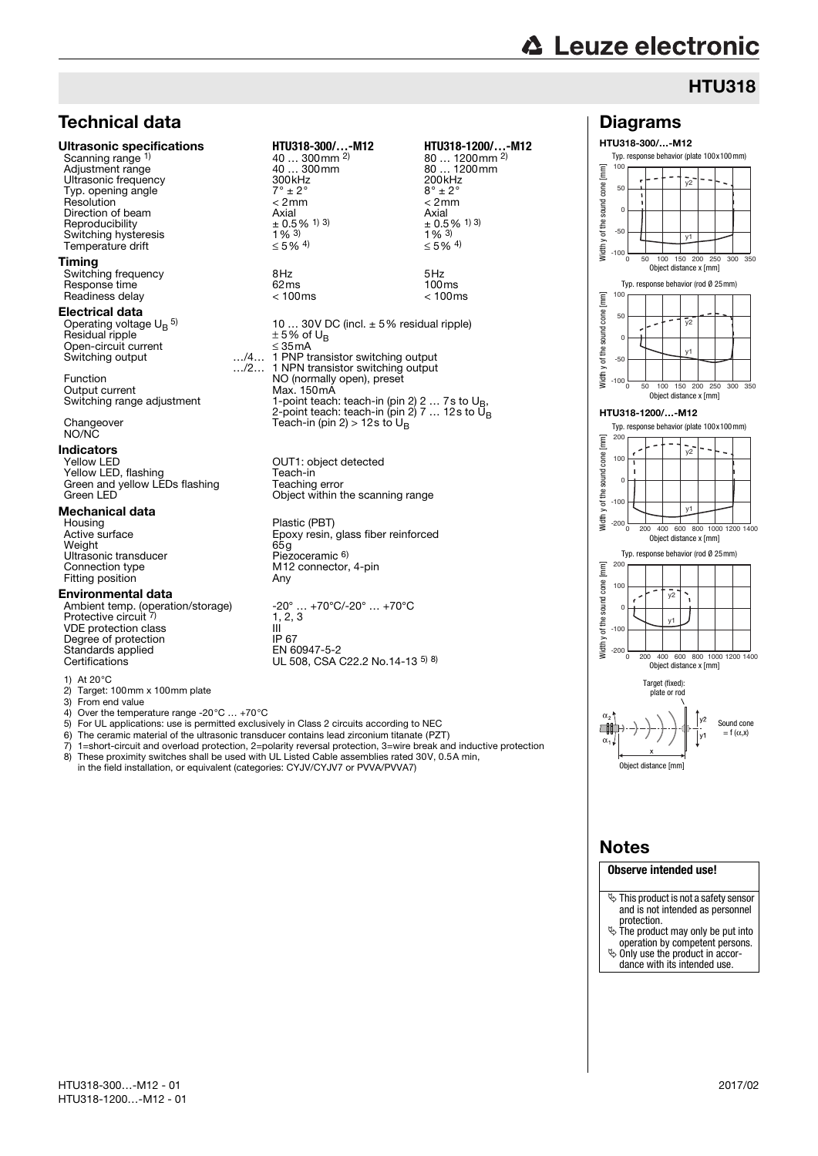# **∆ Leuze electronic**

Diagrams HTU318-300/…-M12

> -50 0 50  $10<sub>0</sub>$

Ē cone sound / of the s  $\mathsf{J}$ 

# **HTU318**

 $v1$ 

 $\overline{v}$ 

Typ. response behavior (plate 100x100mm)

# Technical data

#### Ultrasonic specifications **HTU318-300/…-M12 HTU318-1200/…-M12**

Scanning range 1) Adjustment range  $\begin{array}{ccc}\n\text{Adiagram} & \text{Adiagram} \\
\text{Adiagram} & \text{Adiagram} \\
\text{Bdiagram} & \text{Bdiagram} \\
\text{Bdiagram} & \text{Bdiagram} \\
\text{Adiagram} & \text{Bdiagram} \\
\text{Bdiagram} & \text{Bdiagram} \\
\text{Bdiagram} & \text{Bdiagram} \\
\text{Bdiagram} & \text{Bdiagram} \\
\text{Bdiagram} & \text{Bdiagram} \\
\text{Bdiagram} & \text{Bdiagram} \\
\text{Bdiagram} & \text{Bdiagram} \\
\text{Bdiagram} & \text{Bdiagram} \\
\text{$ Ultrasonic frequency  $300$ kHz 200kH<br>Typ opening angle  $7^\circ + 2^\circ$  8° + 2 Typ. opening angle  $7^\circ \pm 2^\circ$  and  $8^\circ \pm 2^\circ$  and  $8^\circ \pm 2^\circ$  and  $\leq 2$ mm  $\leq 2$ mm  $\leq 2$ mm Resolution < 2mm < 2mm Direction of beam  $\frac{\text{Axial}}{\pm 0.5\%}$  1 3  $\pm 0.5\frac{\text{Axial}}{\pm 0.5\%}$   $\pm 0.5\frac{\text{Axial}}{\text{Axial}}$   $\pm 0.5\frac{\text{Axial}}{\text{Axial}}$   $\pm 0.5\frac{\text{Axial}}{\text{Axial}}$   $\pm 0.5\frac{\text{Axial}}{\text{Axial}}$   $\pm 0.5\frac{\text{Axial}}{\text{Axial}}$   $\pm 0.5\frac{\text{Axial}}{\text{Axial}}$   $\pm 0.5\frac{\text{Axial}}$ Reproducibility  $+0.5$ <br>Switching hysteresis  $1\%$ <sup>3)</sup> Switching hysteresis  $\frac{1}{8}$  3)<br>
Temperature drift  $\leq 5\%$  4) Temperature drift

#### **Timing**

Switching frequency and the SHz 6Hz 5Hz<br>Response time the 62ms 62ms 5Hz Response time and the contract of the contract of the contract of the contract of the contract of the contract of the contract of the contract of the contract of the contract of the contract of the contract of the contract Readiness delay

#### Electrical data

Operating voltage  $\mathsf{U_{B}}^{\mathsf{5}}$ Residual ripple  $\pm 5\%$  of U<sub>B</sub> Open-circuit current ≤ 35mA Switching output

Output current Max. 150mA<br>Switching range adjustment 1-point teach

Changeover NO/NC

# **Indicators**<br>Yellow LED

Yellow LED, flashing Teach-in Green and yellow LEDs flashing Teaching error Green LED<sup>1</sup> Chiect within the scanning range

# **Mechanical data**<br>Housing

Active surface Epoxy resin, gla<br>
Weight 65g<br>
Ultrasonic transducer Piezoceramic 6) Ultrasonic transducer<br>Connection type Fitting position

#### Environmental data

VDE protection class III  $\overline{\phantom{a}}$ <br>Degree of protection IP 67 Degree of protection IP 67<br>Standards applied FN 60947-5-2 Standards applied<br>Certifications

1) At 20°C

2) Target:  $100 \text{mm} \times 100 \text{mm}$  plate<br>3) From end value

3) From end value<br>4) Over the temper

Over the temperature range -20°C ... +70°C

- 5) For UL applications: use is permitted exclusively in Class 2 circuits according to NEC<br>6) The ceramic material of the ultrasonic transducer contains lead zirconium titanate (PZ
- 6) The ceramic material of the ultrasonic transducer contains lead zirconium titanate (PZT)  $\overline{7}$ ) 1=short-circuit and overload protection. 2=polarity reversal protection. 3=wire preak an
- 7) 1=short-circuit and overload protection, 2=polarity reversal protection, 3=wire break and inductive protection<br>8) These proximity switches shall be used with UL Listed Cable assemblies rated 30V, 0.5A min. 8) These proximity switches shall be used with UL Listed Cable assemblies rated 30V, 0.5A min,
- in the field installation, or equivalent (categories: CYJV/CYJV7 or PVVA/PVVA7)

# 40 ... 300mm <sup>2)</sup><br>40 ... 300mm

10 ... 30V DC (incl.  $\pm$  5% residual ripple)  $\pm$  5% of U<sub>R</sub> …/2… 1 PNP transistor switching output 1 NPN transistor switching output Function **NO** (normally open), preset<br>
Noticulate Max, 150 mA Switching range adjustment 1-point teach: teach-in (pin 2) 2 … 7s to U<sub>B</sub>,<br>2-point teach-in (pin 2) 7 … 12s to U<sub>B</sub> Teach-in (pin 2) > 12s to  $U_B$ 

> Plastic (PBT) Epoxy resin, glass fiber reinforced<br>65g

Ambient temp. (operation/storage) -20° … +70°C/-20° … +70°C<br>Protective circuit <sup>7)</sup> 1, 2, 3  $-20^{\circ}$  ...  $+70^{\circ}$ C/-20 $^{\circ}$  ...  $+70^{\circ}$ C<br>1, 2, 3<br>III UL 508, CSA C22.2 No.14-13 5) 8)

# 80 ... 1200mm <sup>2)</sup><br>80 ... 1200mm  $\pm$  0.5% <sup>1) 3)</sup><br>1% <sup>3)</sup>  $≤ 5\%$  <sup>4)</sup>

OUT1: object detected<br>Teach-in

# M12 connector, 4-pin<br>Anv

Width y of the sound cone [mm]  $-100\frac{L}{0}$ 0 50 100 150 200 250 300 350 Object distance x [mm] Typ. response behavior (rod Ø 25mm) 100  $[mm]$ Width y of the sound cone [mm] cone 50 ⊽ء sound  $\overline{c}$ y of the s y1 -50 Width -100 0 50 100 150 200 250 300 350 Object distance x [mm] HTU318-1200/…-M12 Typ. response behavior (plate 100x100mm) 200 [mm] Width y of the sound cone [mm]  $\overline{y^2}$ of the sound cone 10 0  $-100$ y1 Vidth y -200 200 400 600 800 1000 1200 1400 Object distance x [mm] Typ. response behavior (rod Ø 25mm) 200  $\overline{m}$ Width y of the sound cone [mm] y of the sound cone 100  $\overline{v}$ 0 y1  $-100$ Nidth -200 200 400 600 800 1000 1200 1400 Object distance x [mm] Target (fixed) plate or rod w Sound cone 中  $= f(\alpha, x)$  $\alpha_{1}$ Object distance [mm]

## Notes

#### **Observe intended use!**

- $\%$  This product is not a safety sensor and is not intended as personnel protection.
- $\ddot{\phi}$  The product may only be put into operation by competent persons.
- Only use the product in accor-
- dance with its intended use.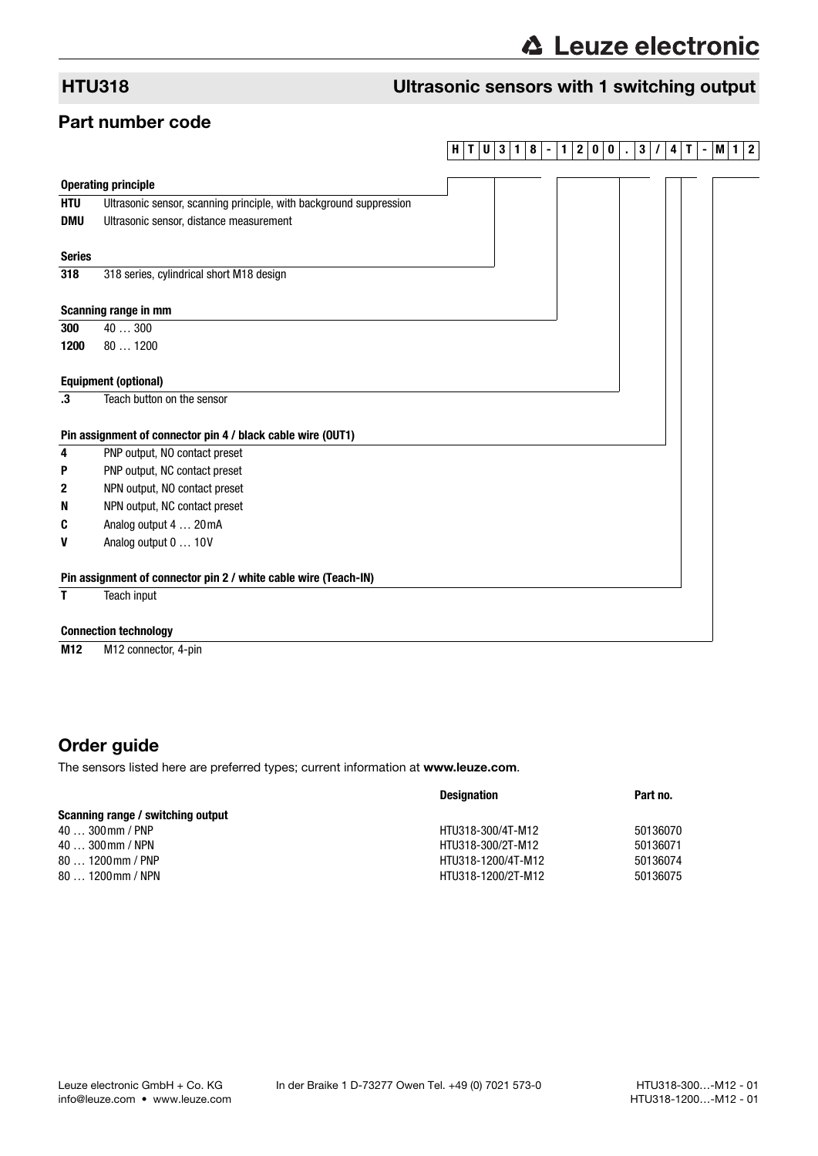# HTU318 Ultrasonic sensors with 1 switching output

### Part number code

#### **HTU3 1 8 - 1 2 0 0 . 3 / 4 T -M1 2**

|               | <b>Operating principle</b>                                         |  |  |  |  |
|---------------|--------------------------------------------------------------------|--|--|--|--|
| <b>HTU</b>    | Ultrasonic sensor, scanning principle, with background suppression |  |  |  |  |
| <b>DMU</b>    | Ultrasonic sensor, distance measurement                            |  |  |  |  |
|               |                                                                    |  |  |  |  |
| <b>Series</b> |                                                                    |  |  |  |  |
| 318           | 318 series, cylindrical short M18 design                           |  |  |  |  |
|               | Scanning range in mm                                               |  |  |  |  |
| 300           | 40300                                                              |  |  |  |  |
| 1200          | 801200                                                             |  |  |  |  |
|               |                                                                    |  |  |  |  |
|               | <b>Equipment (optional)</b>                                        |  |  |  |  |
| .3            | Teach button on the sensor                                         |  |  |  |  |
|               |                                                                    |  |  |  |  |
|               | Pin assignment of connector pin 4 / black cable wire (OUT1)        |  |  |  |  |
| 4             | PNP output, NO contact preset                                      |  |  |  |  |
| P             | PNP output, NC contact preset                                      |  |  |  |  |
| $\mathbf{2}$  | NPN output, NO contact preset                                      |  |  |  |  |
| N             | NPN output, NC contact preset                                      |  |  |  |  |
| C             | Analog output 4  20 mA                                             |  |  |  |  |
| V             | Analog output 0  10V                                               |  |  |  |  |
|               | Pin assignment of connector pin 2 / white cable wire (Teach-IN)    |  |  |  |  |
| Τ             | Teach input                                                        |  |  |  |  |
|               | <b>Connection technology</b>                                       |  |  |  |  |

**M12** M12 connector, 4-pin

# Order guide

The sensors listed here are preferred types; current information at www.leuze.com.

|                                   | <b>Designation</b> | Part no. |  |
|-----------------------------------|--------------------|----------|--|
| Scanning range / switching output |                    |          |  |
| $40300$ mm / PNP                  | HTU318-300/4T-M12  | 50136070 |  |
| $40300$ mm / NPN                  | HTU318-300/2T-M12  | 50136071 |  |
| $801200$ mm / PNP                 | HTU318-1200/4T-M12 | 50136074 |  |
| $801200$ mm / NPN                 | HTU318-1200/2T-M12 | 50136075 |  |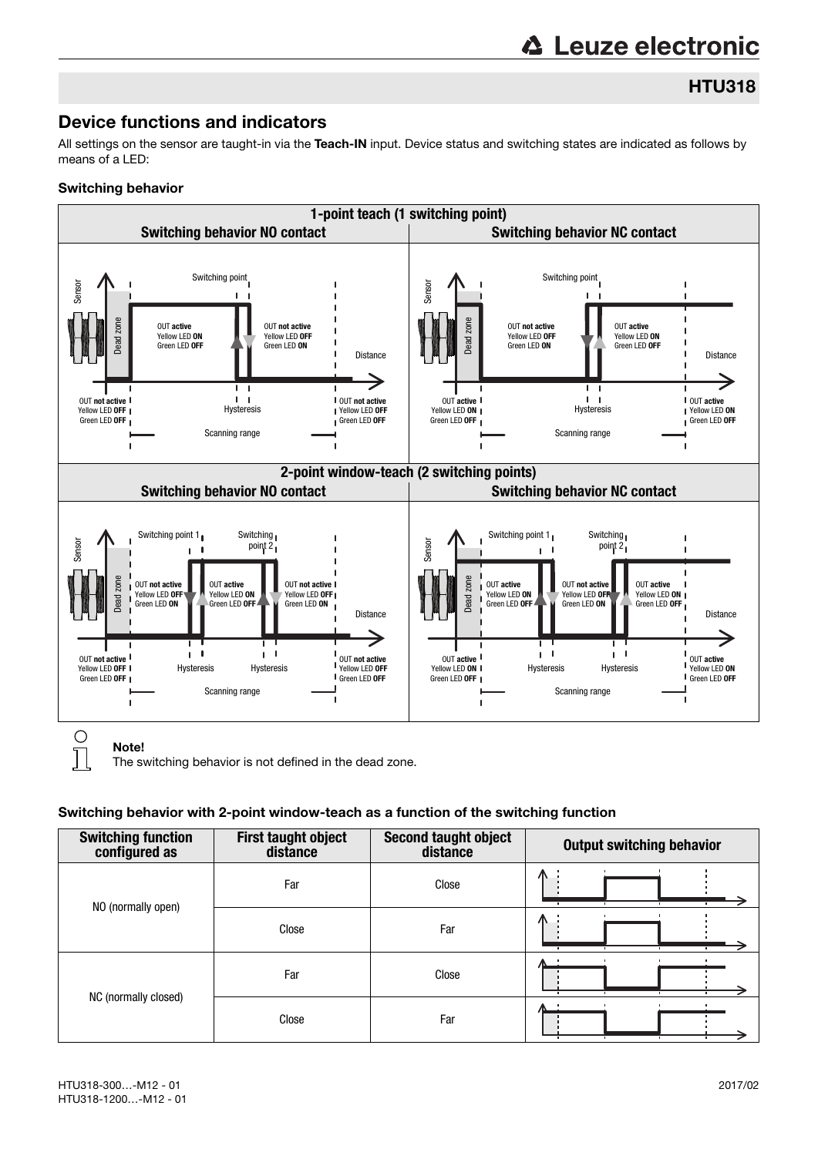HTU318

## Device functions and indicators

All settings on the sensor are taught-in via the Teach-IN input. Device status and switching states are indicated as follows by means of a LED:

#### Switching behavior



Note!

Т

The switching behavior is not defined in the dead zone.

#### Switching behavior with 2-point window-teach as a function of the switching function

| <b>Switching function</b><br>configured as | First taught object<br>distance | Second taught object<br>distance | <b>Output switching behavior</b> |
|--------------------------------------------|---------------------------------|----------------------------------|----------------------------------|
| NO (normally open)                         | Far                             | Close                            | л                                |
|                                            | Close                           | Far                              | л                                |
| NC (normally closed)                       | Far                             | Close                            |                                  |
|                                            | Close                           | Far                              |                                  |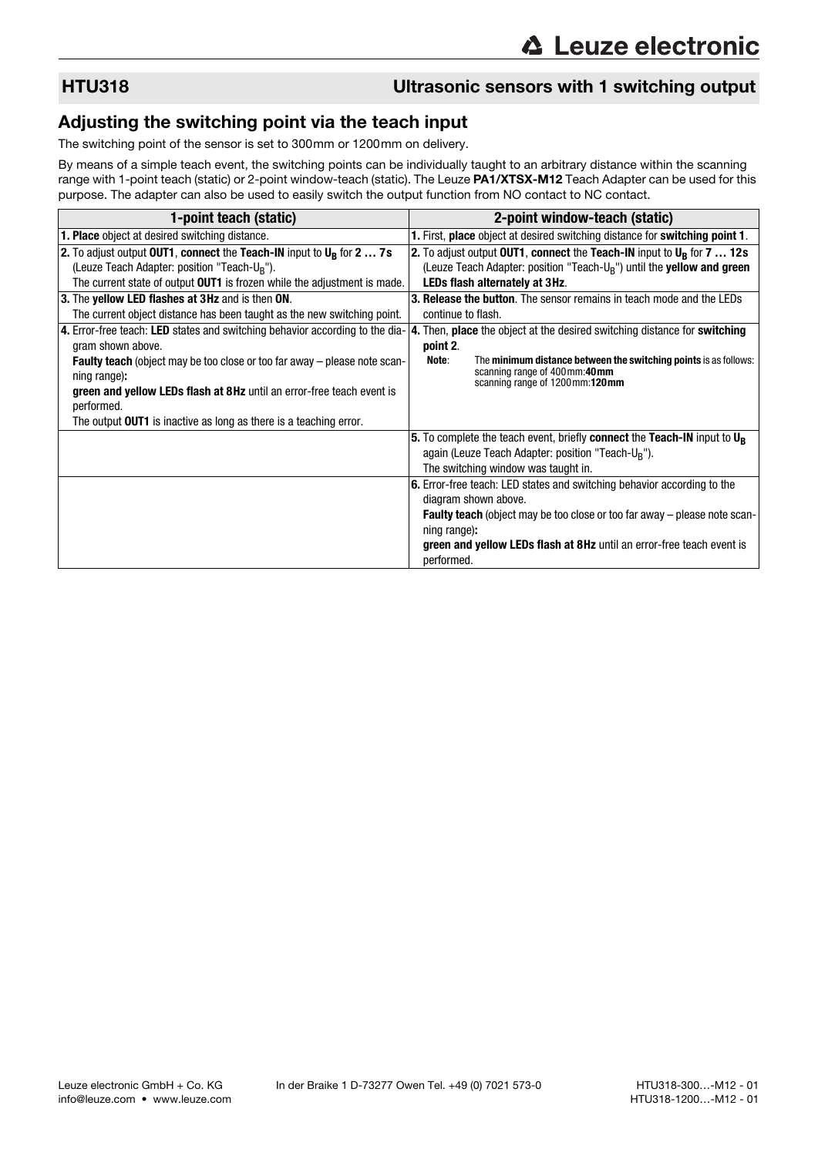## HTU318 Ultrasonic sensors with 1 switching output

## Adjusting the switching point via the teach input

The switching point of the sensor is set to 300mm or 1200mm on delivery.

By means of a simple teach event, the switching points can be individually taught to an arbitrary distance within the scanning range with 1-point teach (static) or 2-point window-teach (static). The Leuze PA1/XTSX-M12 Teach Adapter can be used for this purpose. The adapter can also be used to easily switch the output function from NO contact to NC contact.

| 1-point teach (static)                                                                                                                                                                                                                                                                                                                                                   | 2-point window-teach (static)                                                                                                                                                                                                                                                                         |  |  |  |
|--------------------------------------------------------------------------------------------------------------------------------------------------------------------------------------------------------------------------------------------------------------------------------------------------------------------------------------------------------------------------|-------------------------------------------------------------------------------------------------------------------------------------------------------------------------------------------------------------------------------------------------------------------------------------------------------|--|--|--|
| <b>1. Place</b> object at desired switching distance.                                                                                                                                                                                                                                                                                                                    | 1. First, place object at desired switching distance for switching point 1.                                                                                                                                                                                                                           |  |  |  |
| 2. To adjust output OUT1, connect the Teach-IN input to $U_R$ for 2  7s<br>(Leuze Teach Adapter: position "Teach-U <sub>R</sub> ").<br>The current state of output OUT1 is frozen while the adjustment is made.<br>3. The <b>yellow LED flashes at 3Hz</b> and is then <b>ON</b> .<br>The current object distance has been taught as the new switching point.            | 2. To adjust output OUT1, connect the Teach-IN input to $U_R$ for 7  12s<br>(Leuze Teach Adapter: position "Teach-U <sub>B</sub> ") until the yellow and green<br>LEDs flash alternately at 3Hz.<br><b>3. Release the button.</b> The sensor remains in teach mode and the LEDs<br>continue to flash. |  |  |  |
| 4. Error-free teach: LED states and switching behavior according to the dia-<br>gram shown above.<br><b>Faulty teach</b> (object may be too close or too far away – please note scan-<br>ning range):<br>green and yellow LEDs flash at 8Hz until an error-free teach event is<br>performed.<br>The output <b>OUT1</b> is inactive as long as there is a teaching error. | 4. Then, place the object at the desired switching distance for switching<br>point 2.<br>The minimum distance between the switching points is as follows:<br>Note:<br>scanning range of 400mm:40mm<br>scanning range of 1200mm:120mm                                                                  |  |  |  |
|                                                                                                                                                                                                                                                                                                                                                                          | 5. To complete the teach event, briefly connect the Teach-IN input to $U_R$<br>again (Leuze Teach Adapter: position "Teach-U <sub>B</sub> ").<br>The switching window was taught in.                                                                                                                  |  |  |  |
|                                                                                                                                                                                                                                                                                                                                                                          | 6. Error-free teach: LED states and switching behavior according to the<br>diagram shown above.<br><b>Faulty teach</b> (object may be too close or too far away – please note scan-<br>ning range):<br>green and yellow LEDs flash at 8Hz until an error-free teach event is<br>performed.            |  |  |  |